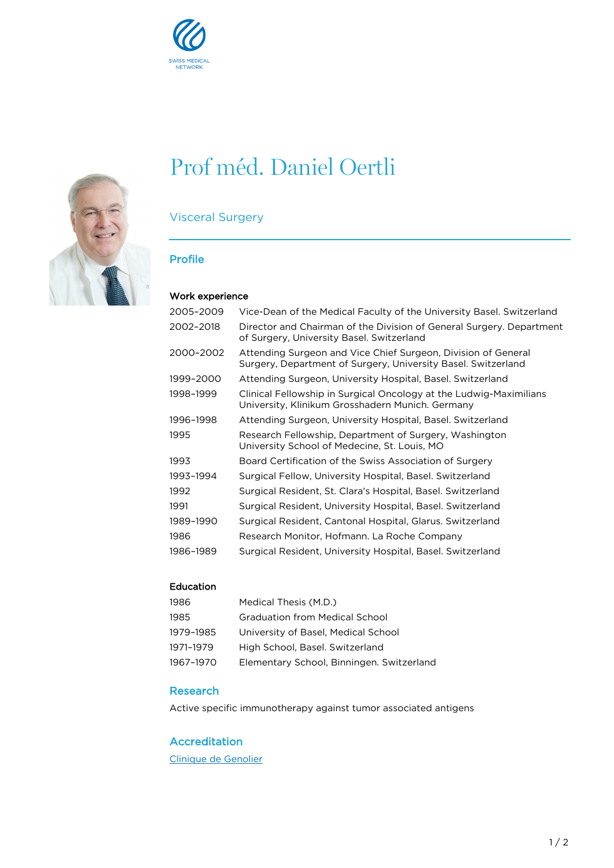



# Prof méd. Daniel Oertli

## Visceral Surgery

#### Profile

#### Work experience

| 2005–2009 | Vice-Dean of the Medical Faculty of the University Basel. Switzerland                                                          |
|-----------|--------------------------------------------------------------------------------------------------------------------------------|
| 2002-2018 | Director and Chairman of the Division of General Surgery. Department<br>of Surgery, University Basel. Switzerland              |
| 2000-2002 | Attending Surgeon and Vice Chief Surgeon, Division of General<br>Surgery, Department of Surgery, University Basel, Switzerland |
| 1999-2000 | Attending Surgeon, University Hospital, Basel, Switzerland                                                                     |
| 1998-1999 | Clinical Fellowship in Surgical Oncology at the Ludwig-Maximilians<br>University, Klinikum Grosshadern Munich. Germany         |
| 1996–1998 | Attending Surgeon, University Hospital, Basel. Switzerland                                                                     |
| 1995      | Research Fellowship, Department of Surgery, Washington<br>University School of Medecine, St. Louis, MO                         |
| 1993      | Board Certification of the Swiss Association of Surgery                                                                        |
| 1993–1994 | Surgical Fellow, University Hospital, Basel. Switzerland                                                                       |
| 1992      | Surgical Resident, St. Clara's Hospital, Basel. Switzerland                                                                    |
| 1991      | Surgical Resident, University Hospital, Basel. Switzerland                                                                     |
| 1989-1990 | Surgical Resident, Cantonal Hospital, Glarus. Switzerland                                                                      |
| 1986      | Research Monitor, Hofmann. La Roche Company                                                                                    |
| 1986-1989 | Surgical Resident, University Hospital, Basel. Switzerland                                                                     |
|           |                                                                                                                                |

#### Education

| Medical Thesis (M.D.)                     |
|-------------------------------------------|
| <b>Graduation from Medical School</b>     |
| University of Basel, Medical School       |
| High School, Basel, Switzerland           |
| Elementary School, Binningen. Switzerland |
|                                           |

#### Research

Active specific immunotherapy against tumor associated antigens

#### Accreditation

[Clinique de Genolier](https://www.genolier.net)